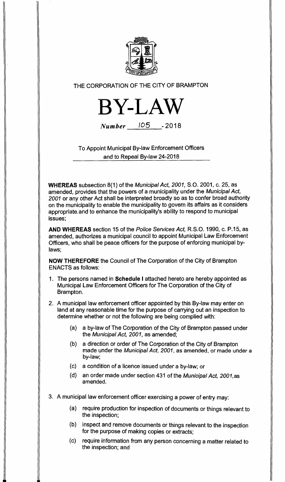

THE CORPORATION OF THE CITY OF BRAMPTON



**Number** 105 -2018

To Appoint Municipal By-law Enforcement Officers and to Repeal By-law 24-2018

**WHEREAS** subsection 8(1) of the Municipal Act, 2001, S.O. 2001, c. 25, as amended, provides that the powers of a municipality under the Municipal Act, 2001 or any other Act shall be interpreted broadly so as to confer broad authority on the municipality to enable the municipality to govern its affairs as it considers appropriate.and to enhance the municipality's ability to respond to municipal issues;

**AND WHEREAS** section 15 of the Police Services Act, R.S.O. 1990, c. P.15, as amended, authorizes a municipal council to appoint Municipal Law Enforcement Officers, who shall be peace officers for the purpose of enforcing municipal bylaws;

**NOW THEREFORE** the Council of The Corporation of the City of Brampton ENACTS as follows:

- 1. The persons named in **Schedule I** attached hereto are hereby appointed as Municipal Law Enforcement Officers for The Corporation of the City of Brampton.
- 2. A municipal law enforcement officer appointed by this By-law may enter on land at any reasonable time for the purpose of carrying out an inspection to determine whether or not the following are being complied with:
	- (a) a by-law of The Corporation of the City of Brampton passed under the Municipal Act, 2001, as amended;
	- (b) a direction or order of The Corporation of the City of Brampton made under the Municipal Act, 2001, as amended, or made under a by-law;
	- (c) a condition of a licence issued under a by-law; or
	- (d) an order made under section 431 of the Municipal Act, 2001,as amended.
- 3. A municipal law enforcement officer exercising a power of entry may:
	- (a) require production for inspection of documents or things relevant to the inspection;
	- (b) inspect and remove documents or things relevant to the inspection for the purpose of making copies or extracts;
	- (c) require information from any person concerning a matter related to the inspection; and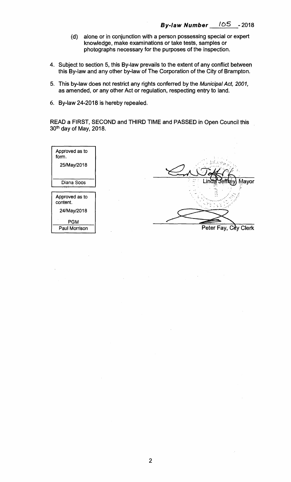- **(d) alone or in conjunction with a person possessing special or expert knowledge, make examinations or take tests, samples or photographs necessary for the purposes of the inspection.**
- **4. Subject to section 5, this By-law prevails to the extent of any conflict between this By-law and any other by-law of The Corporation of the City of Brampton.**
- **5. This by-law does not restrict any rights conferred by the** Municipal Act, 2001, **as amended, or any other Act or regulation, respecting entry to land.**
- **6. By-law 24-2018 is hereby repealed.**

**READ a FIRST, SECOND and THIRD TIME and PASSED in Open Council this 30th day of May, 2018.** 

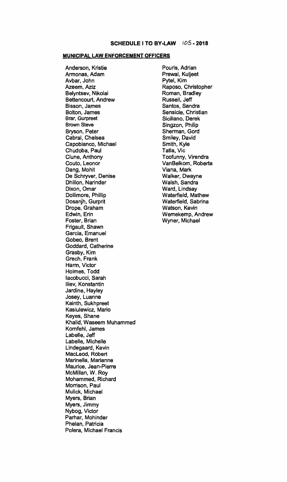## **MUNICIPAL LAW ENFORCEMENT OFFICERS**

**Anderson, Kristie Armonas, Adam Avbar, John Azeem, Aziz Belyntsev, Nikolai Bettencourt, Andrew Bisson, James Bolton, James Brar, Gurpreet Brown Steve Bryson, Peter Cabral, Chelsea Capobianco, Michael Chudoba, Paul Clune, Anthony Couto, Leonor Dang, Mohit De Schryver, Denise Dhillon, Narinder Dixon, Omar Dollimore, Phillip Dosanjh, Gurprit Drope, Graham Edwin, Erin Foster, Brian Frigault, Shawn Garcia, Emanuel Gobeo, Brent Goddard, Catherine Grasby, Kim Grech, Frank Harm, Victor Holmes, Todd lacobucci, Sarah Iliev, Konstantin Jardine, Hayley Josey, Luanne Kainth, Sukhpreet Kasiulewicz, Mario Keyes, Shane Khalid, Waseem Muhammed Komfehl, James Labelle, Jeff Labelle, Michelle Lindegaard, Kevin MacLeod, Robert Marinella, Marianne Maurice, Jean-Pierre McMillan, W. Roy Mohammed, Richard Morrison, Paul Mulick, Michael Myers, Brian Myers, Jimmy Nybog, Victor Parhar, Mohinder Phelan, Patricia Polera, Michael Francis** 

**Pouris, Adrian**. **Prewal, Kuljeet Pytel, Kim Raposo, Christopher Roman, Bradley Russell, Jeff Santos, Sandra Sensicle, Christian Siciliano, Derek Singzon, Philip Sherman, Gord Smiley, David Smith, Kyle Tatla, Vic Toofunny, Virendra VanBelkom, Roberta Viana, Mark Walker, Dwayne Walsh, Sandra Ward, Lindsay Waterfield, Mathew Waterfield, Sabrina Watson, Kevin Wemekemp, Andrew Wyner, Michael**